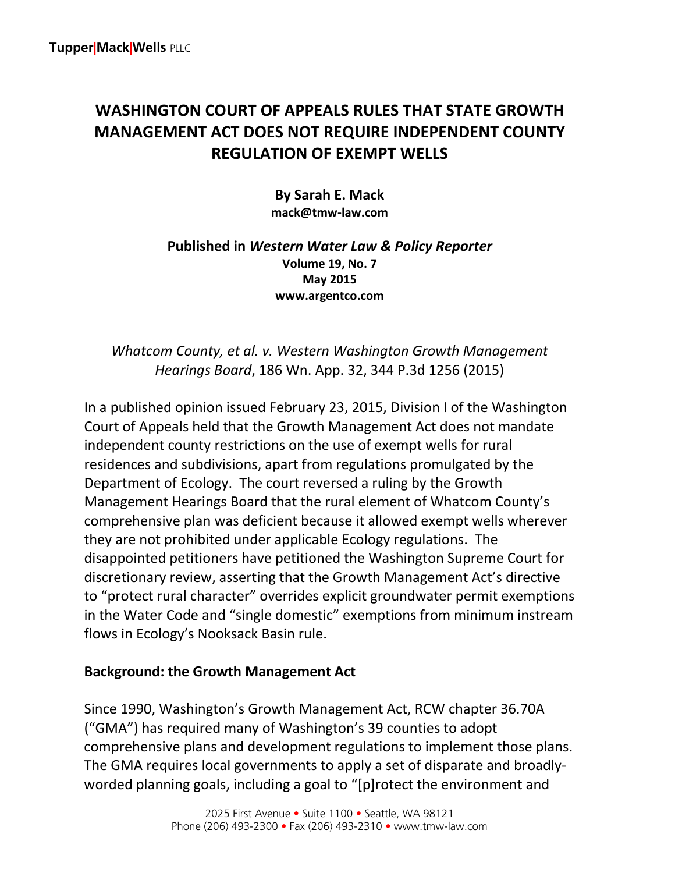# **WASHINGTON COURT OF APPEALS RULES THAT STATE GROWTH MANAGEMENT ACT DOES NOT REQUIRE INDEPENDENT COUNTY REGULATION OF EXEMPT WELLS**

**By Sarah E. Mack mack@tmw-law.com**

#### **Published in** *Western Water Law & Policy Reporter* **Volume 19, No. 7 May 2015 www.argentco.com**

*Whatcom County, et al. v. Western Washington Growth Management Hearings Board*, 186 Wn. App. 32, 344 P.3d 1256 (2015)

In a published opinion issued February 23, 2015, Division I of the Washington Court of Appeals held that the Growth Management Act does not mandate independent county restrictions on the use of exempt wells for rural residences and subdivisions, apart from regulations promulgated by the Department of Ecology. The court reversed a ruling by the Growth Management Hearings Board that the rural element of Whatcom County's comprehensive plan was deficient because it allowed exempt wells wherever they are not prohibited under applicable Ecology regulations. The disappointed petitioners have petitioned the Washington Supreme Court for discretionary review, asserting that the Growth Management Act's directive to "protect rural character" overrides explicit groundwater permit exemptions in the Water Code and "single domestic" exemptions from minimum instream flows in Ecology's Nooksack Basin rule.

# **Background: the Growth Management Act**

Since 1990, Washington's Growth Management Act, RCW chapter 36.70A ("GMA") has required many of Washington's 39 counties to adopt comprehensive plans and development regulations to implement those plans. The GMA requires local governments to apply a set of disparate and broadlyworded planning goals, including a goal to "[p]rotect the environment and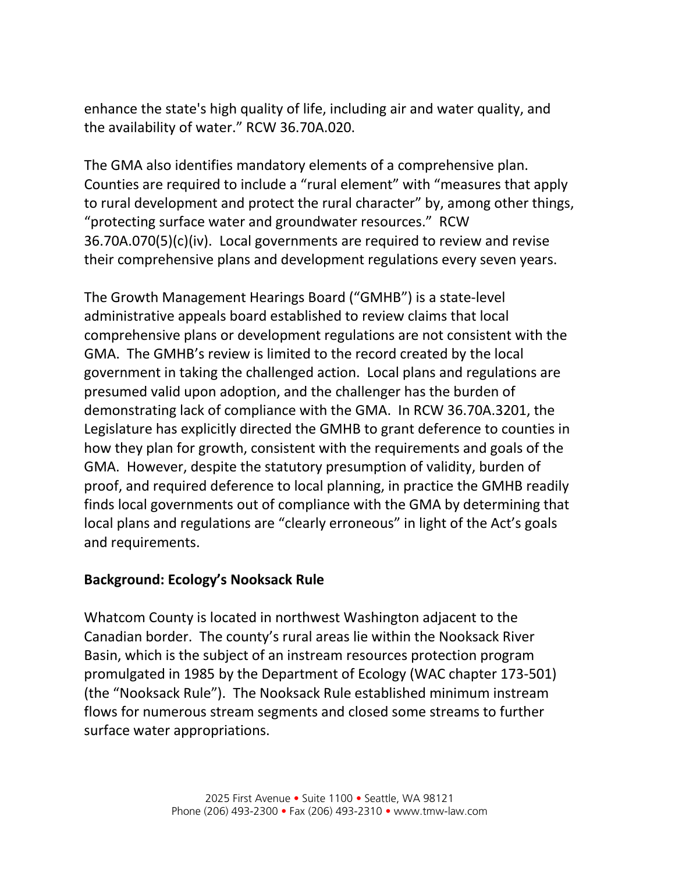enhance the state's high quality of life, including air and water quality, and the availability of water." RCW 36.70A.020.

The GMA also identifies mandatory elements of a comprehensive plan. Counties are required to include a "rural element" with "measures that apply to rural development and protect the rural character" by, among other things, "protecting surface water and groundwater resources." RCW 36.70A.070(5)(c)(iv). Local governments are required to review and revise their comprehensive plans and development regulations every seven years.

The Growth Management Hearings Board ("GMHB") is a state-level administrative appeals board established to review claims that local comprehensive plans or development regulations are not consistent with the GMA. The GMHB's review is limited to the record created by the local government in taking the challenged action. Local plans and regulations are presumed valid upon adoption, and the challenger has the burden of demonstrating lack of compliance with the GMA. In RCW 36.70A.3201, the Legislature has explicitly directed the GMHB to grant deference to counties in how they plan for growth, consistent with the requirements and goals of the GMA. However, despite the statutory presumption of validity, burden of proof, and required deference to local planning, in practice the GMHB readily finds local governments out of compliance with the GMA by determining that local plans and regulations are "clearly erroneous" in light of the Act's goals and requirements.

# **Background: Ecology's Nooksack Rule**

Whatcom County is located in northwest Washington adjacent to the Canadian border. The county's rural areas lie within the Nooksack River Basin, which is the subject of an instream resources protection program promulgated in 1985 by the Department of Ecology (WAC chapter 173-501) (the "Nooksack Rule"). The Nooksack Rule established minimum instream flows for numerous stream segments and closed some streams to further surface water appropriations.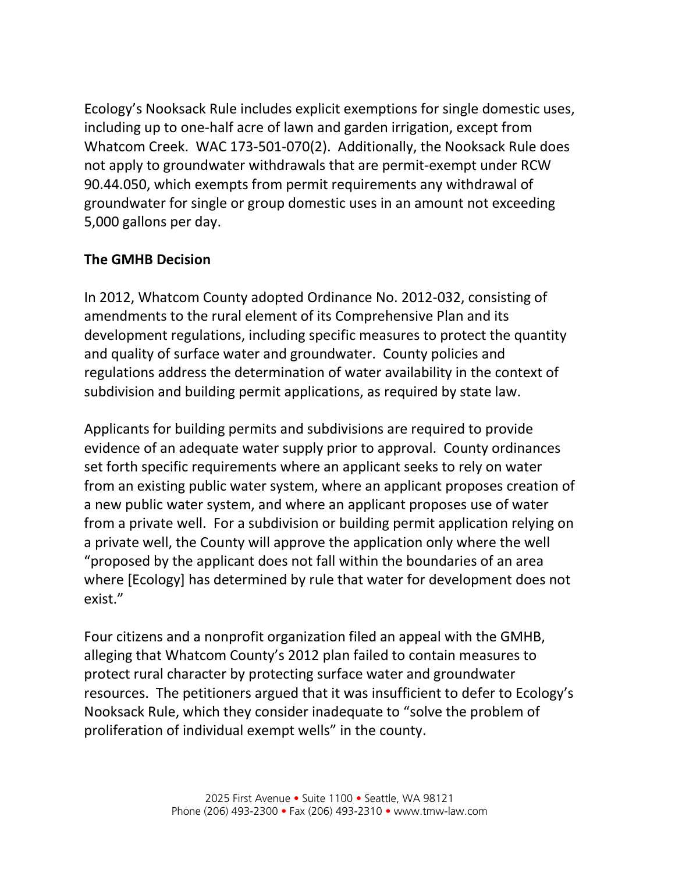Ecology's Nooksack Rule includes explicit exemptions for single domestic uses, including up to one-half acre of lawn and garden irrigation, except from Whatcom Creek. WAC 173-501-070(2). Additionally, the Nooksack Rule does not apply to groundwater withdrawals that are permit-exempt under RCW 90.44.050, which exempts from permit requirements any withdrawal of groundwater for single or group domestic uses in an amount not exceeding 5,000 gallons per day.

# **The GMHB Decision**

In 2012, Whatcom County adopted Ordinance No. 2012-032, consisting of amendments to the rural element of its Comprehensive Plan and its development regulations, including specific measures to protect the quantity and quality of surface water and groundwater. County policies and regulations address the determination of water availability in the context of subdivision and building permit applications, as required by state law.

Applicants for building permits and subdivisions are required to provide evidence of an adequate water supply prior to approval. County ordinances set forth specific requirements where an applicant seeks to rely on water from an existing public water system, where an applicant proposes creation of a new public water system, and where an applicant proposes use of water from a private well. For a subdivision or building permit application relying on a private well, the County will approve the application only where the well "proposed by the applicant does not fall within the boundaries of an area where [Ecology] has determined by rule that water for development does not exist."

Four citizens and a nonprofit organization filed an appeal with the GMHB, alleging that Whatcom County's 2012 plan failed to contain measures to protect rural character by protecting surface water and groundwater resources. The petitioners argued that it was insufficient to defer to Ecology's Nooksack Rule, which they consider inadequate to "solve the problem of proliferation of individual exempt wells" in the county.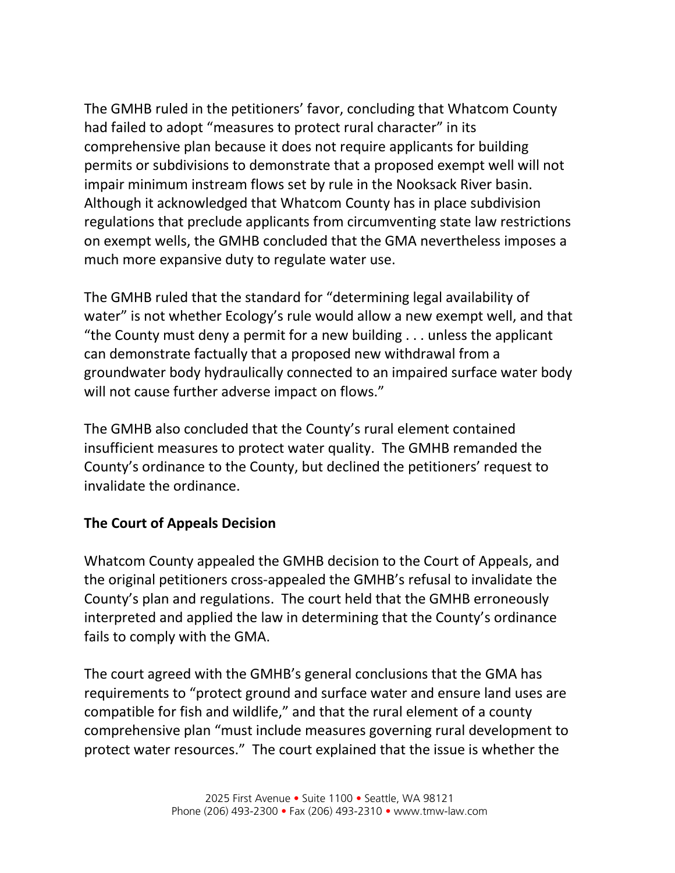The GMHB ruled in the petitioners' favor, concluding that Whatcom County had failed to adopt "measures to protect rural character" in its comprehensive plan because it does not require applicants for building permits or subdivisions to demonstrate that a proposed exempt well will not impair minimum instream flows set by rule in the Nooksack River basin. Although it acknowledged that Whatcom County has in place subdivision regulations that preclude applicants from circumventing state law restrictions on exempt wells, the GMHB concluded that the GMA nevertheless imposes a much more expansive duty to regulate water use.

The GMHB ruled that the standard for "determining legal availability of water" is not whether Ecology's rule would allow a new exempt well, and that "the County must deny a permit for a new building . . . unless the applicant can demonstrate factually that a proposed new withdrawal from a groundwater body hydraulically connected to an impaired surface water body will not cause further adverse impact on flows."

The GMHB also concluded that the County's rural element contained insufficient measures to protect water quality. The GMHB remanded the County's ordinance to the County, but declined the petitioners' request to invalidate the ordinance.

# **The Court of Appeals Decision**

Whatcom County appealed the GMHB decision to the Court of Appeals, and the original petitioners cross-appealed the GMHB's refusal to invalidate the County's plan and regulations. The court held that the GMHB erroneously interpreted and applied the law in determining that the County's ordinance fails to comply with the GMA.

The court agreed with the GMHB's general conclusions that the GMA has requirements to "protect ground and surface water and ensure land uses are compatible for fish and wildlife," and that the rural element of a county comprehensive plan "must include measures governing rural development to protect water resources." The court explained that the issue is whether the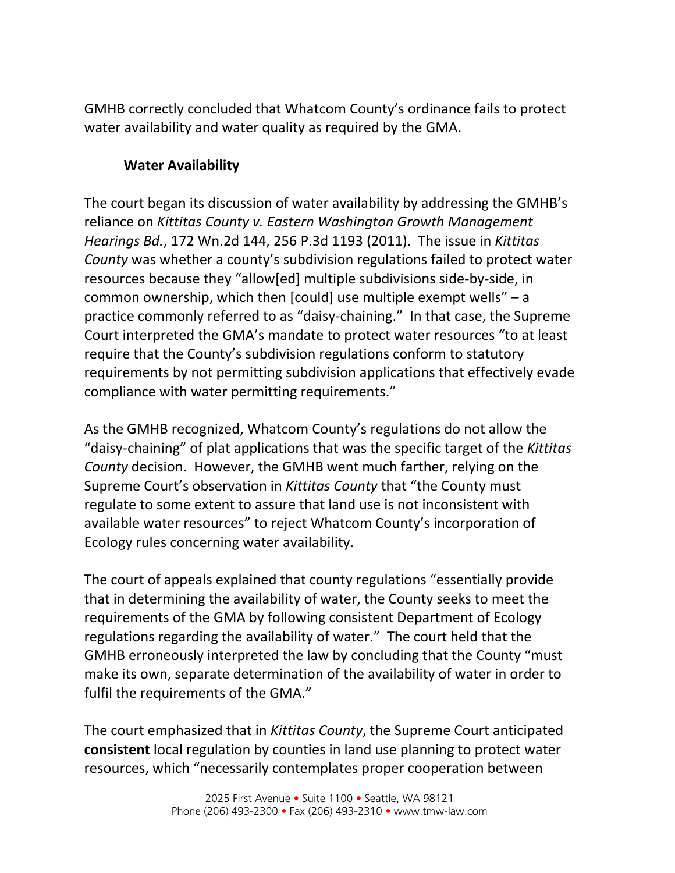GMHB correctly concluded that Whatcom County's ordinance fails to protect water availability and water quality as required by the GMA.

# **Water Availability**

The court began its discussion of water availability by addressing the GMHB's reliance on *Kittitas County v. Eastern Washington Growth Management Hearings Bd.*, 172 Wn.2d 144, 256 P.3d 1193 (2011). The issue in *Kittitas County* was whether a county's subdivision regulations failed to protect water resources because they "allow[ed] multiple subdivisions side-by-side, in common ownership, which then [could] use multiple exempt wells" – a practice commonly referred to as "daisy-chaining." In that case, the Supreme Court interpreted the GMA's mandate to protect water resources "to at least require that the County's subdivision regulations conform to statutory requirements by not permitting subdivision applications that effectively evade compliance with water permitting requirements."

As the GMHB recognized, Whatcom County's regulations do not allow the "daisy-chaining" of plat applications that was the specific target of the *Kittitas County* decision. However, the GMHB went much farther, relying on the Supreme Court's observation in *Kittitas County* that "the County must regulate to some extent to assure that land use is not inconsistent with available water resources" to reject Whatcom County's incorporation of Ecology rules concerning water availability.

The court of appeals explained that county regulations "essentially provide that in determining the availability of water, the County seeks to meet the requirements of the GMA by following consistent Department of Ecology regulations regarding the availability of water." The court held that the GMHB erroneously interpreted the law by concluding that the County "must make its own, separate determination of the availability of water in order to fulfil the requirements of the GMA."

The court emphasized that in *Kittitas County*, the Supreme Court anticipated **consistent** local regulation by counties in land use planning to protect water resources, which "necessarily contemplates proper cooperation between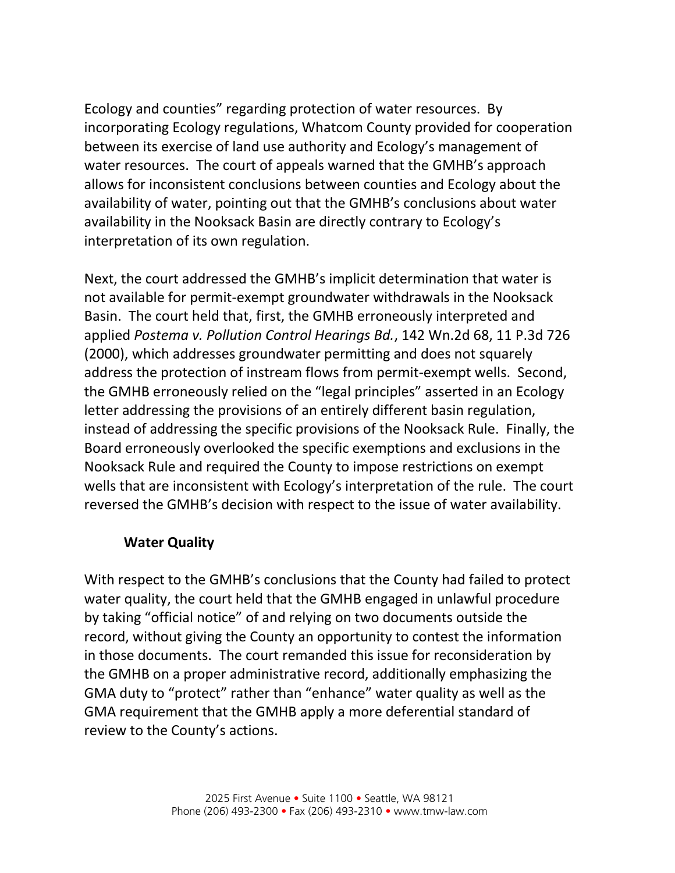Ecology and counties" regarding protection of water resources. By incorporating Ecology regulations, Whatcom County provided for cooperation between its exercise of land use authority and Ecology's management of water resources. The court of appeals warned that the GMHB's approach allows for inconsistent conclusions between counties and Ecology about the availability of water, pointing out that the GMHB's conclusions about water availability in the Nooksack Basin are directly contrary to Ecology's interpretation of its own regulation.

Next, the court addressed the GMHB's implicit determination that water is not available for permit-exempt groundwater withdrawals in the Nooksack Basin. The court held that, first, the GMHB erroneously interpreted and applied *Postema v. Pollution Control Hearings Bd.*, 142 Wn.2d 68, 11 P.3d 726 (2000), which addresses groundwater permitting and does not squarely address the protection of instream flows from permit-exempt wells. Second, the GMHB erroneously relied on the "legal principles" asserted in an Ecology letter addressing the provisions of an entirely different basin regulation, instead of addressing the specific provisions of the Nooksack Rule. Finally, the Board erroneously overlooked the specific exemptions and exclusions in the Nooksack Rule and required the County to impose restrictions on exempt wells that are inconsistent with Ecology's interpretation of the rule. The court reversed the GMHB's decision with respect to the issue of water availability.

# **Water Quality**

With respect to the GMHB's conclusions that the County had failed to protect water quality, the court held that the GMHB engaged in unlawful procedure by taking "official notice" of and relying on two documents outside the record, without giving the County an opportunity to contest the information in those documents. The court remanded this issue for reconsideration by the GMHB on a proper administrative record, additionally emphasizing the GMA duty to "protect" rather than "enhance" water quality as well as the GMA requirement that the GMHB apply a more deferential standard of review to the County's actions.